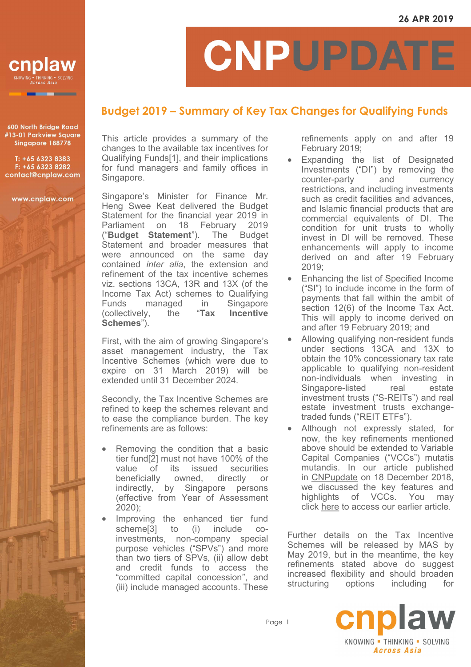

600 North Bridge Road #13-01 Parkview Square Singapore 188778

T: +65 6323 8383 F: +65 6323 8282 contact@cnplaw.com

www.cnplaw.com

## CNPUPDATI

## **Budget 2019 – Summary of Key Tax Changes for Qualifying Funds**

This article provides a summary of the changes to the available tax incentives for Qualifying Funds[1], and their implications for fund managers and family offices in Singapore.

Singapore's Minister for Finance Mr. Heng Swee Keat delivered the Budget Statement for the financial year 2019 in Parliament on 18 February 2019<br>("**Budget Statement**"). The Budget ("**Budget Statement**"). The Budget Statement and broader measures that were announced on the same day contained *inter alia*, the extension and refinement of the tax incentive schemes viz. sections 13CA, 13R and 13X (of the Income Tax Act) schemes to Qualifying Funds managed in Singapore<br>(collectively. the "**Tax Incentive** (collectively, the "**Tax Incentive Schemes**").

First, with the aim of growing Singapore's asset management industry, the Tax Incentive Schemes (which were due to expire on 31 March 2019) will be extended until 31 December 2024.

Secondly, the Tax Incentive Schemes are refined to keep the schemes relevant and to ease the compliance burden. The key refinements are as follows:

- Removing the condition that a basic tier fund[2] must not have 100% of the value of its issued securities<br>beneficially owned, directly or beneficially owned, directly or indirectly, by Singapore persons (effective from Year of Assessment 2020);
- Improving the enhanced tier fund scheme[3] to (i) include coinvestments, non-company special purpose vehicles ("SPVs") and more than two tiers of SPVs, (ii) allow debt and credit funds to access the "committed capital concession", and (iii) include managed accounts. These

refinements apply on and after 19 February 2019;

- Expanding the list of Designated Investments ("DI") by removing the counter-party and currency restrictions, and including investments such as credit facilities and advances, and Islamic financial products that are commercial equivalents of DI. The condition for unit trusts to wholly invest in DI will be removed. These enhancements will apply to income derived on and after 19 February 2019;
- Enhancing the list of Specified Income ("SI") to include income in the form of payments that fall within the ambit of section 12(6) of the Income Tax Act. This will apply to income derived on and after 19 February 2019; and
- Allowing qualifying non-resident funds under sections 13CA and 13X to obtain the 10% concessionary tax rate applicable to qualifying non-resident non-individuals when investing in Singapore-listed real estate investment trusts ("S-REITs") and real estate investment trusts exchangetraded funds ("REIT ETFs").
- Although not expressly stated, for now, the key refinements mentioned above should be extended to Variable Capital Companies ("VCCs") mutatis mutandis. In our article published in [CNPupdate](https://www.cnplaw.com/mas-issues-response-to-feedback-received-on-the-proposed-framework-for-variable-capital-companies/) on 18 December 2018, we discussed the key features and highlights of VCCs. You may click [here](https://www.cnplaw.com/variable-capital-company-key-features-and-highlights/) to access our earlier article.

Further details on the Tax Incentive Schemes will be released by MAS by May 2019, but in the meantime, the key refinements stated above do suggest increased flexibility and should broaden structuring options including for